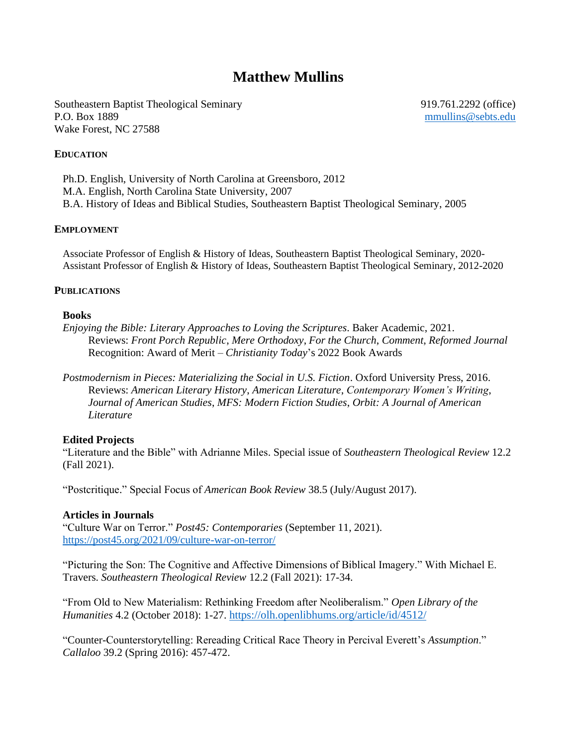# **Matthew Mullins**

Southeastern Baptist Theological Seminary 919.761.2292 (office) P.O. Box 1889 [mmullins@sebts.edu](mailto:mmullins@sebts.edu) Wake Forest, NC 27588

#### **EDUCATION**

Ph.D. English, University of North Carolina at Greensboro, 2012 M.A. English, North Carolina State University, 2007 B.A. History of Ideas and Biblical Studies, Southeastern Baptist Theological Seminary, 2005

#### **EMPLOYMENT**

Associate Professor of English & History of Ideas, Southeastern Baptist Theological Seminary, 2020- Assistant Professor of English & History of Ideas, Southeastern Baptist Theological Seminary, 2012-2020

#### **PUBLICATIONS**

#### **Books**

*Enjoying the Bible: Literary Approaches to Loving the Scriptures*. Baker Academic, 2021. Reviews: *Front Porch Republic*, *Mere Orthodoxy*, *For the Church*, *Comment*, *Reformed Journal* Recognition: Award of Merit – *Christianity Today*'s 2022 Book Awards

*Postmodernism in Pieces: Materializing the Social in U.S. Fiction*. Oxford University Press, 2016. Reviews: *American Literary History*, *American Literature*, *Contemporary Women's Writing*, *Journal of American Studies*, *MFS: Modern Fiction Studies*, *Orbit: A Journal of American Literature*

#### **Edited Projects**

"Literature and the Bible" with Adrianne Miles. Special issue of *Southeastern Theological Review* 12.2 (Fall 2021).

"Postcritique." Special Focus of *American Book Review* 38.5 (July/August 2017).

#### **Articles in Journals**

"Culture War on Terror." *Post45: Contemporaries* (September 11, 2021). <https://post45.org/2021/09/culture-war-on-terror/>

"Picturing the Son: The Cognitive and Affective Dimensions of Biblical Imagery." With Michael E. Travers. *Southeastern Theological Review* 12.2 (Fall 2021): 17-34.

"From Old to New Materialism: Rethinking Freedom after Neoliberalism." *Open Library of the Humanities* 4.2 (October 2018): 1-27. <https://olh.openlibhums.org/article/id/4512/>

"Counter-Counterstorytelling: Rereading Critical Race Theory in Percival Everett's *Assumption*." *Callaloo* 39.2 (Spring 2016): 457-472.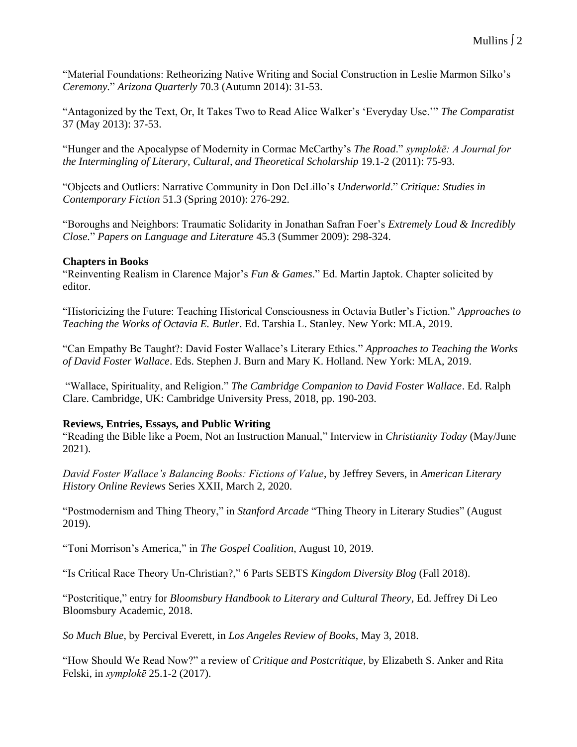"Material Foundations: Retheorizing Native Writing and Social Construction in Leslie Marmon Silko's *Ceremony.*" *Arizona Quarterly* 70.3 (Autumn 2014): 31-53.

"Antagonized by the Text, Or, It Takes Two to Read Alice Walker's 'Everyday Use.'" *The Comparatist* 37 (May 2013): 37-53.

"Hunger and the Apocalypse of Modernity in Cormac McCarthy's *The Road*." *symplokē: A Journal for the Intermingling of Literary, Cultural, and Theoretical Scholarship* 19.1-2 (2011): 75-93.

"Objects and Outliers: Narrative Community in Don DeLillo's *Underworld*." *Critique: Studies in Contemporary Fiction* 51.3 (Spring 2010): 276-292.

"Boroughs and Neighbors: Traumatic Solidarity in Jonathan Safran Foer's *Extremely Loud & Incredibly Close.*" *Papers on Language and Literature* 45.3 (Summer 2009): 298-324.

# **Chapters in Books**

"Reinventing Realism in Clarence Major's *Fun & Games*." Ed. Martin Japtok. Chapter solicited by editor.

"Historicizing the Future: Teaching Historical Consciousness in Octavia Butler's Fiction." *Approaches to Teaching the Works of Octavia E. Butler*. Ed. Tarshia L. Stanley. New York: MLA, 2019.

"Can Empathy Be Taught?: David Foster Wallace's Literary Ethics." *Approaches to Teaching the Works of David Foster Wallace*. Eds. Stephen J. Burn and Mary K. Holland. New York: MLA, 2019.

"Wallace, Spirituality, and Religion." *The Cambridge Companion to David Foster Wallace*. Ed. Ralph Clare. Cambridge, UK: Cambridge University Press, 2018, pp. 190-203.

# **Reviews, Entries, Essays, and Public Writing**

"Reading the Bible like a Poem, Not an Instruction Manual," Interview in *Christianity Today* (May/June 2021).

*David Foster Wallace's Balancing Books: Fictions of Value*, by Jeffrey Severs, in *American Literary History Online Reviews* Series XXII, March 2, 2020.

"Postmodernism and Thing Theory," in *Stanford Arcade* "Thing Theory in Literary Studies" (August 2019).

"Toni Morrison's America," in *The Gospel Coalition*, August 10, 2019.

"Is Critical Race Theory Un-Christian?," 6 Parts SEBTS *Kingdom Diversity Blog* (Fall 2018).

"Postcritique," entry for *Bloomsbury Handbook to Literary and Cultural Theory,* Ed. Jeffrey Di Leo Bloomsbury Academic, 2018.

*So Much Blue*, by Percival Everett, in *Los Angeles Review of Books*, May 3, 2018.

"How Should We Read Now?" a review of *Critique and Postcritique*, by Elizabeth S. Anker and Rita Felski, in *symplokē* 25.1-2 (2017).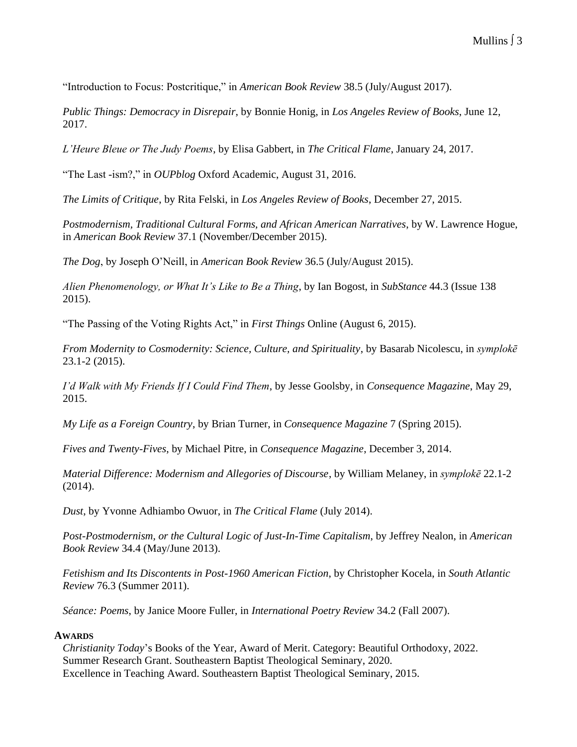"Introduction to Focus: Postcritique," in *American Book Review* 38.5 (July/August 2017).

*Public Things: Democracy in Disrepair*, by Bonnie Honig, in *Los Angeles Review of Books*, June 12, 2017.

*L'Heure Bleue or The Judy Poems*, by Elisa Gabbert, in *The Critical Flame*, January 24, 2017.

"The Last -ism?," in *OUPblog* Oxford Academic, August 31, 2016.

*The Limits of Critique*, by Rita Felski, in *Los Angeles Review of Books*, December 27, 2015.

*Postmodernism, Traditional Cultural Forms, and African American Narratives*, by W. Lawrence Hogue, in *American Book Review* 37.1 (November/December 2015).

*The Dog*, by Joseph O'Neill, in *American Book Review* 36.5 (July/August 2015).

*Alien Phenomenology, or What It's Like to Be a Thing*, by Ian Bogost, in *SubStance* 44.3 (Issue 138 2015).

"The Passing of the Voting Rights Act," in *First Things* Online (August 6, 2015).

*From Modernity to Cosmodernity: Science, Culture, and Spirituality*, by Basarab Nicolescu, in *symplokē*  23.1-2 (2015).

*I'd Walk with My Friends If I Could Find Them*, by Jesse Goolsby, in *Consequence Magazine*, May 29, 2015.

*My Life as a Foreign Country*, by Brian Turner, in *Consequence Magazine* 7 (Spring 2015).

*Fives and Twenty-Fives*, by Michael Pitre, in *Consequence Magazine*, December 3, 2014.

*Material Difference: Modernism and Allegories of Discourse*, by William Melaney, in *symplokē* 22.1-2 (2014).

*Dust*, by Yvonne Adhiambo Owuor, in *The Critical Flame* (July 2014).

*Post-Postmodernism, or the Cultural Logic of Just-In-Time Capitalism*, by Jeffrey Nealon, in *American Book Review* 34.4 (May/June 2013).

*Fetishism and Its Discontents in Post-1960 American Fiction*, by Christopher Kocela, in *South Atlantic Review* 76.3 (Summer 2011).

*Séance: Poems*, by Janice Moore Fuller, in *International Poetry Review* 34.2 (Fall 2007).

#### **AWARDS**

*Christianity Today*'s Books of the Year, Award of Merit. Category: Beautiful Orthodoxy, 2022. Summer Research Grant. Southeastern Baptist Theological Seminary, 2020. Excellence in Teaching Award. Southeastern Baptist Theological Seminary, 2015.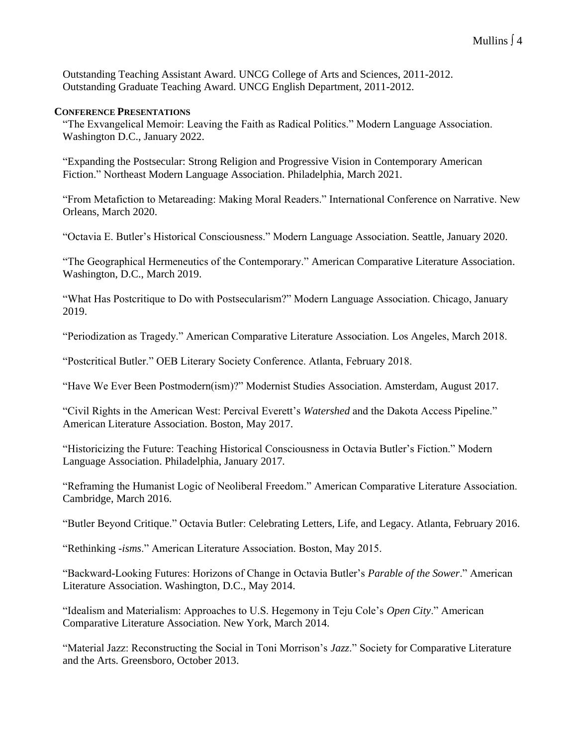Outstanding Teaching Assistant Award. UNCG College of Arts and Sciences, 2011-2012. Outstanding Graduate Teaching Award. UNCG English Department, 2011-2012.

#### **CONFERENCE PRESENTATIONS**

"The Exvangelical Memoir: Leaving the Faith as Radical Politics." Modern Language Association. Washington D.C., January 2022.

"Expanding the Postsecular: Strong Religion and Progressive Vision in Contemporary American Fiction." Northeast Modern Language Association. Philadelphia, March 2021.

"From Metafiction to Metareading: Making Moral Readers." International Conference on Narrative. New Orleans, March 2020.

"Octavia E. Butler's Historical Consciousness." Modern Language Association. Seattle, January 2020.

"The Geographical Hermeneutics of the Contemporary." American Comparative Literature Association. Washington, D.C., March 2019.

"What Has Postcritique to Do with Postsecularism?" Modern Language Association. Chicago, January 2019.

"Periodization as Tragedy." American Comparative Literature Association. Los Angeles, March 2018.

"Postcritical Butler." OEB Literary Society Conference. Atlanta, February 2018.

"Have We Ever Been Postmodern(ism)?" Modernist Studies Association. Amsterdam, August 2017.

"Civil Rights in the American West: Percival Everett's *Watershed* and the Dakota Access Pipeline." American Literature Association. Boston, May 2017.

"Historicizing the Future: Teaching Historical Consciousness in Octavia Butler's Fiction." Modern Language Association. Philadelphia, January 2017.

"Reframing the Humanist Logic of Neoliberal Freedom." American Comparative Literature Association. Cambridge, March 2016.

"Butler Beyond Critique." Octavia Butler: Celebrating Letters, Life, and Legacy. Atlanta, February 2016.

"Rethinking -*isms*." American Literature Association. Boston, May 2015.

"Backward-Looking Futures: Horizons of Change in Octavia Butler's *Parable of the Sower*." American Literature Association. Washington, D.C., May 2014.

"Idealism and Materialism: Approaches to U.S. Hegemony in Teju Cole's *Open City*." American Comparative Literature Association. New York, March 2014.

"Material Jazz: Reconstructing the Social in Toni Morrison's *Jazz*." Society for Comparative Literature and the Arts. Greensboro, October 2013.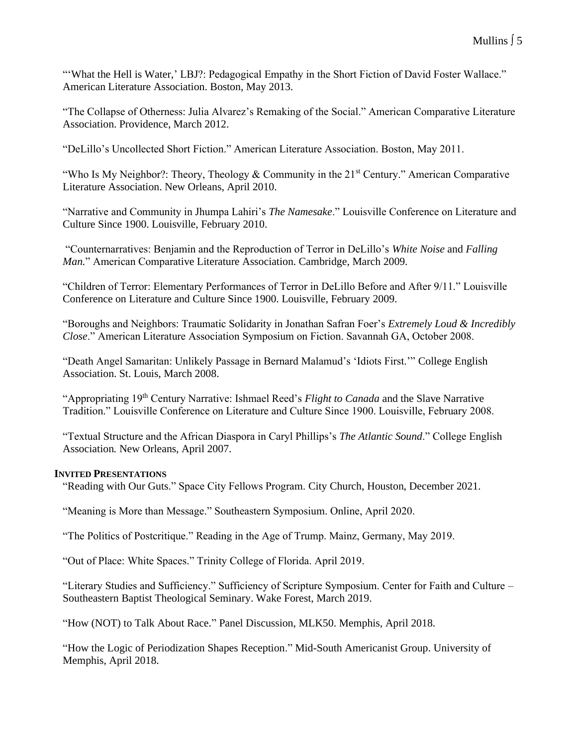"'What the Hell is Water,' LBJ?: Pedagogical Empathy in the Short Fiction of David Foster Wallace." American Literature Association. Boston, May 2013.

"The Collapse of Otherness: Julia Alvarez's Remaking of the Social." American Comparative Literature Association. Providence, March 2012.

"DeLillo's Uncollected Short Fiction." American Literature Association. Boston, May 2011.

"Who Is My Neighbor?: Theory, Theology & Community in the  $21<sup>st</sup>$  Century." American Comparative Literature Association. New Orleans, April 2010.

"Narrative and Community in Jhumpa Lahiri's *The Namesake*." Louisville Conference on Literature and Culture Since 1900. Louisville, February 2010.

"Counternarratives: Benjamin and the Reproduction of Terror in DeLillo's *White Noise* and *Falling Man.*" American Comparative Literature Association. Cambridge, March 2009.

"Children of Terror: Elementary Performances of Terror in DeLillo Before and After 9/11." Louisville Conference on Literature and Culture Since 1900. Louisville, February 2009.

"Boroughs and Neighbors: Traumatic Solidarity in Jonathan Safran Foer's *Extremely Loud & Incredibly Close*." American Literature Association Symposium on Fiction. Savannah GA, October 2008.

"Death Angel Samaritan: Unlikely Passage in Bernard Malamud's 'Idiots First.'" College English Association. St. Louis, March 2008.

"Appropriating 19<sup>th</sup> Century Narrative: Ishmael Reed's *Flight to Canada* and the Slave Narrative Tradition." Louisville Conference on Literature and Culture Since 1900. Louisville, February 2008.

"Textual Structure and the African Diaspora in Caryl Phillips's *The Atlantic Sound*." College English Association*.* New Orleans, April 2007.

### **INVITED PRESENTATIONS**

"Reading with Our Guts." Space City Fellows Program. City Church, Houston, December 2021.

"Meaning is More than Message." Southeastern Symposium. Online, April 2020.

"The Politics of Postcritique." Reading in the Age of Trump. Mainz, Germany, May 2019.

"Out of Place: White Spaces." Trinity College of Florida. April 2019.

"Literary Studies and Sufficiency." Sufficiency of Scripture Symposium. Center for Faith and Culture – Southeastern Baptist Theological Seminary. Wake Forest, March 2019.

"How (NOT) to Talk About Race." Panel Discussion, MLK50. Memphis, April 2018.

"How the Logic of Periodization Shapes Reception." Mid-South Americanist Group. University of Memphis, April 2018.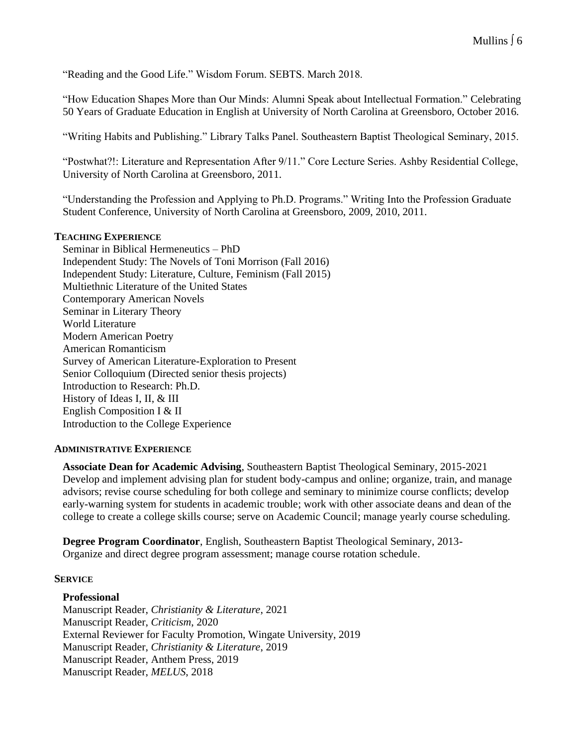"Reading and the Good Life." Wisdom Forum. SEBTS. March 2018.

"How Education Shapes More than Our Minds: Alumni Speak about Intellectual Formation." Celebrating 50 Years of Graduate Education in English at University of North Carolina at Greensboro, October 2016.

"Writing Habits and Publishing." Library Talks Panel. Southeastern Baptist Theological Seminary, 2015.

"Postwhat?!: Literature and Representation After 9/11." Core Lecture Series. Ashby Residential College, University of North Carolina at Greensboro, 2011.

"Understanding the Profession and Applying to Ph.D. Programs." Writing Into the Profession Graduate Student Conference, University of North Carolina at Greensboro, 2009, 2010, 2011.

#### **TEACHING EXPERIENCE**

Seminar in Biblical Hermeneutics – PhD Independent Study: The Novels of Toni Morrison (Fall 2016) Independent Study: Literature, Culture, Feminism (Fall 2015) Multiethnic Literature of the United States Contemporary American Novels Seminar in Literary Theory World Literature Modern American Poetry American Romanticism Survey of American Literature-Exploration to Present Senior Colloquium (Directed senior thesis projects) Introduction to Research: Ph.D. History of Ideas I, II, & III English Composition I & II Introduction to the College Experience

#### **ADMINISTRATIVE EXPERIENCE**

**Associate Dean for Academic Advising**, Southeastern Baptist Theological Seminary, 2015-2021 Develop and implement advising plan for student body-campus and online; organize, train, and manage advisors; revise course scheduling for both college and seminary to minimize course conflicts; develop early-warning system for students in academic trouble; work with other associate deans and dean of the college to create a college skills course; serve on Academic Council; manage yearly course scheduling.

**Degree Program Coordinator**, English, Southeastern Baptist Theological Seminary, 2013- Organize and direct degree program assessment; manage course rotation schedule.

#### **SERVICE**

#### **Professional**

Manuscript Reader, *Christianity & Literature*, 2021 Manuscript Reader, *Criticism*, 2020 External Reviewer for Faculty Promotion, Wingate University, 2019 Manuscript Reader, *Christianity & Literature*, 2019 Manuscript Reader, Anthem Press, 2019 Manuscript Reader, *MELUS*, 2018